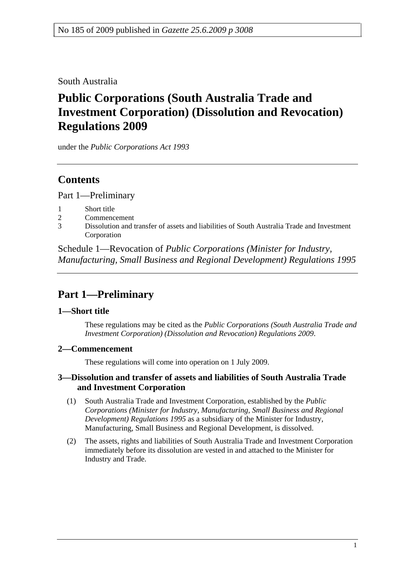### South Australia

# **Public Corporations (South Australia Trade and Investment Corporation) (Dissolution and Revocation) Regulations 2009**

under the *Public Corporations Act 1993*

### **Contents**

Part 1—Preliminary

- 1 Short title
- 2 Commencement
- 3 Dissolution and transfer of assets and liabilities of South Australia Trade and Investment Corporation

Schedule 1—Revocation of *Public Corporations (Minister for Industry, Manufacturing, Small Business and Regional Development) Regulations 1995*

## **Part 1—Preliminary**

#### **1—Short title**

These regulations may be cited as the *Public Corporations (South Australia Trade and Investment Corporation) (Dissolution and Revocation) Regulations 2009*.

#### **2—Commencement**

These regulations will come into operation on 1 July 2009.

#### **3—Dissolution and transfer of assets and liabilities of South Australia Trade and Investment Corporation**

- (1) South Australia Trade and Investment Corporation, established by the *Public Corporations (Minister for Industry, Manufacturing, Small Business and Regional Development) Regulations 1995* as a subsidiary of the Minister for Industry, Manufacturing, Small Business and Regional Development, is dissolved.
- (2) The assets, rights and liabilities of South Australia Trade and Investment Corporation immediately before its dissolution are vested in and attached to the Minister for Industry and Trade.